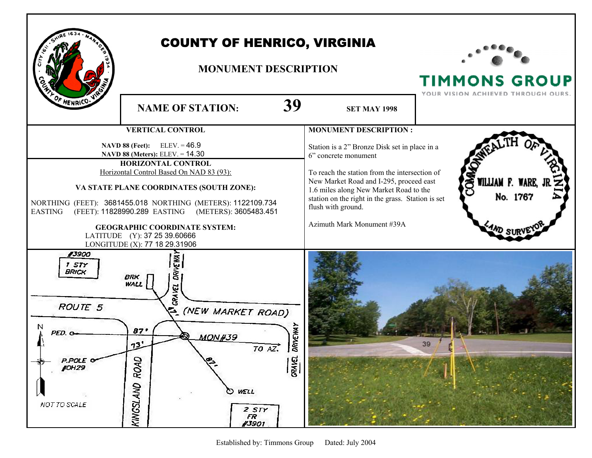